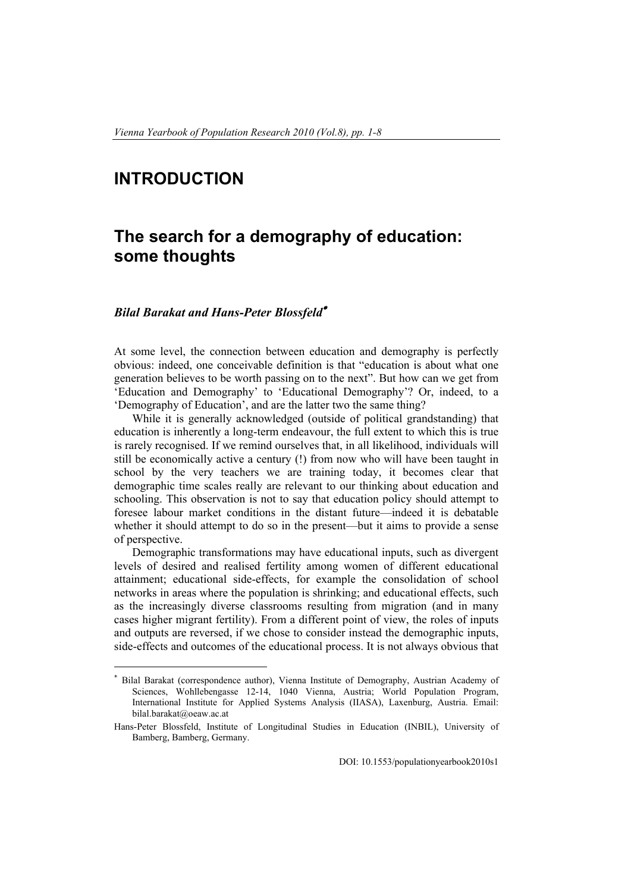## **INTRODUCTION**

 $\overline{a}$ 

## **The search for a demography of education: some thoughts**

## *Bilal Barakat and Hans-Peter Blossfeld*<sup>∗</sup>

At some level, the connection between education and demography is perfectly obvious: indeed, one conceivable definition is that "education is about what one generation believes to be worth passing on to the next". But how can we get from 'Education and Demography' to 'Educational Demography'? Or, indeed, to a 'Demography of Education', and are the latter two the same thing?

While it is generally acknowledged (outside of political grandstanding) that education is inherently a long-term endeavour, the full extent to which this is true is rarely recognised. If we remind ourselves that, in all likelihood, individuals will still be economically active a century (!) from now who will have been taught in school by the very teachers we are training today, it becomes clear that demographic time scales really are relevant to our thinking about education and schooling. This observation is not to say that education policy should attempt to foresee labour market conditions in the distant future—indeed it is debatable whether it should attempt to do so in the present—but it aims to provide a sense of perspective.

Demographic transformations may have educational inputs, such as divergent levels of desired and realised fertility among women of different educational attainment; educational side-effects, for example the consolidation of school networks in areas where the population is shrinking; and educational effects, such as the increasingly diverse classrooms resulting from migration (and in many cases higher migrant fertility). From a different point of view, the roles of inputs and outputs are reversed, if we chose to consider instead the demographic inputs, side-effects and outcomes of the educational process. It is not always obvious that

Bilal Barakat (correspondence author), Vienna Institute of Demography, Austrian Academy of Sciences, Wohllebengasse 12-14, 1040 Vienna, Austria; World Population Program, International Institute for Applied Systems Analysis (IIASA), Laxenburg, Austria. Email: bilal.barakat@oeaw.ac.at

Hans-Peter Blossfeld, Institute of Longitudinal Studies in Education (INBIL), University of Bamberg, Bamberg, Germany.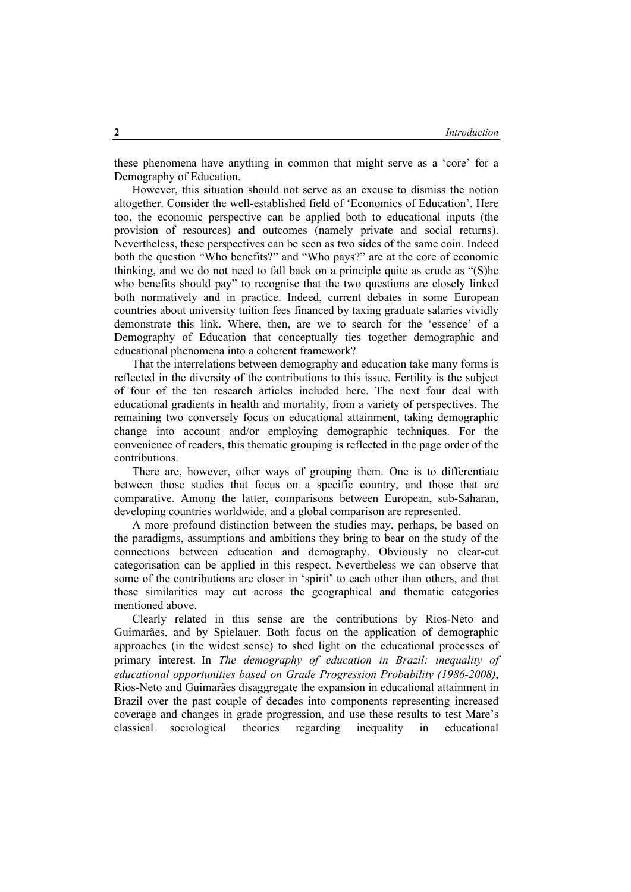these phenomena have anything in common that might serve as a 'core' for a Demography of Education.

However, this situation should not serve as an excuse to dismiss the notion altogether. Consider the well-established field of 'Economics of Education'. Here too, the economic perspective can be applied both to educational inputs (the provision of resources) and outcomes (namely private and social returns). Nevertheless, these perspectives can be seen as two sides of the same coin. Indeed both the question "Who benefits?" and "Who pays?" are at the core of economic thinking, and we do not need to fall back on a principle quite as crude as "(S)he who benefits should pay" to recognise that the two questions are closely linked both normatively and in practice. Indeed, current debates in some European countries about university tuition fees financed by taxing graduate salaries vividly demonstrate this link. Where, then, are we to search for the 'essence' of a Demography of Education that conceptually ties together demographic and educational phenomena into a coherent framework?

That the interrelations between demography and education take many forms is reflected in the diversity of the contributions to this issue. Fertility is the subject of four of the ten research articles included here. The next four deal with educational gradients in health and mortality, from a variety of perspectives. The remaining two conversely focus on educational attainment, taking demographic change into account and/or employing demographic techniques. For the convenience of readers, this thematic grouping is reflected in the page order of the contributions.

There are, however, other ways of grouping them. One is to differentiate between those studies that focus on a specific country, and those that are comparative. Among the latter, comparisons between European, sub-Saharan, developing countries worldwide, and a global comparison are represented.

A more profound distinction between the studies may, perhaps, be based on the paradigms, assumptions and ambitions they bring to bear on the study of the connections between education and demography. Obviously no clear-cut categorisation can be applied in this respect. Nevertheless we can observe that some of the contributions are closer in 'spirit' to each other than others, and that these similarities may cut across the geographical and thematic categories mentioned above.

Clearly related in this sense are the contributions by Rios-Neto and Guimarães, and by Spielauer. Both focus on the application of demographic approaches (in the widest sense) to shed light on the educational processes of primary interest. In *The demography of education in Brazil: inequality of educational opportunities based on Grade Progression Probability (1986-2008)*, Rios-Neto and Guimarães disaggregate the expansion in educational attainment in Brazil over the past couple of decades into components representing increased coverage and changes in grade progression, and use these results to test Mare's classical sociological theories regarding inequality in educational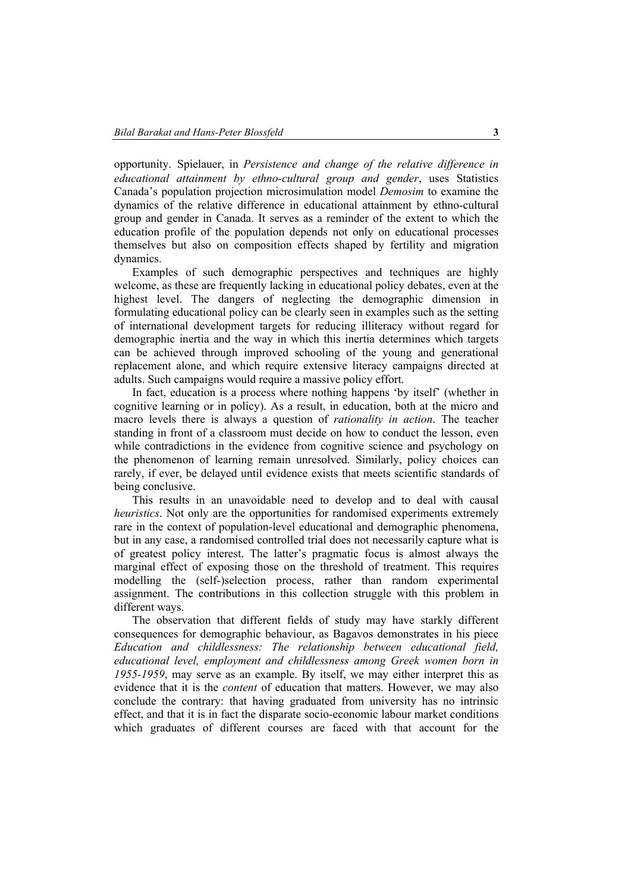opportunity. Spielauer, in *Persistence and change of the relative difference in educational attainment by ethno-cultural group and gender*, uses Statistics Canada's population projection microsimulation model *Demosim* to examine the dynamics of the relative difference in educational attainment by ethno-cultural group and gender in Canada. It serves as a reminder of the extent to which the education profile of the population depends not only on educational processes themselves but also on composition effects shaped by fertility and migration dynamics.

Examples of such demographic perspectives and techniques are highly welcome, as these are frequently lacking in educational policy debates, even at the highest level. The dangers of neglecting the demographic dimension in formulating educational policy can be clearly seen in examples such as the setting of international development targets for reducing illiteracy without regard for demographic inertia and the way in which this inertia determines which targets can be achieved through improved schooling of the young and generational replacement alone, and which require extensive literacy campaigns directed at adults. Such campaigns would require a massive policy effort.

In fact, education is a process where nothing happens 'by itself' (whether in cognitive learning or in policy). As a result, in education, both at the micro and macro levels there is always a question of *rationality in action*. The teacher standing in front of a classroom must decide on how to conduct the lesson, even while contradictions in the evidence from cognitive science and psychology on the phenomenon of learning remain unresolved. Similarly, policy choices can rarely, if ever, be delayed until evidence exists that meets scientific standards of being conclusive.

This results in an unavoidable need to develop and to deal with causal *heuristics*. Not only are the opportunities for randomised experiments extremely rare in the context of population-level educational and demographic phenomena, but in any case, a randomised controlled trial does not necessarily capture what is of greatest policy interest. The latter's pragmatic focus is almost always the marginal effect of exposing those on the threshold of treatment. This requires modelling the (self-)selection process, rather than random experimental assignment. The contributions in this collection struggle with this problem in different ways.

The observation that different fields of study may have starkly different consequences for demographic behaviour, as Bagavos demonstrates in his piece *Education and childlessness: The relationship between educational field, educational level, employment and childlessness among Greek women born in 1955-1959*, may serve as an example. By itself, we may either interpret this as evidence that it is the *content* of education that matters. However, we may also conclude the contrary: that having graduated from university has no intrinsic effect, and that it is in fact the disparate socio-economic labour market conditions which graduates of different courses are faced with that account for the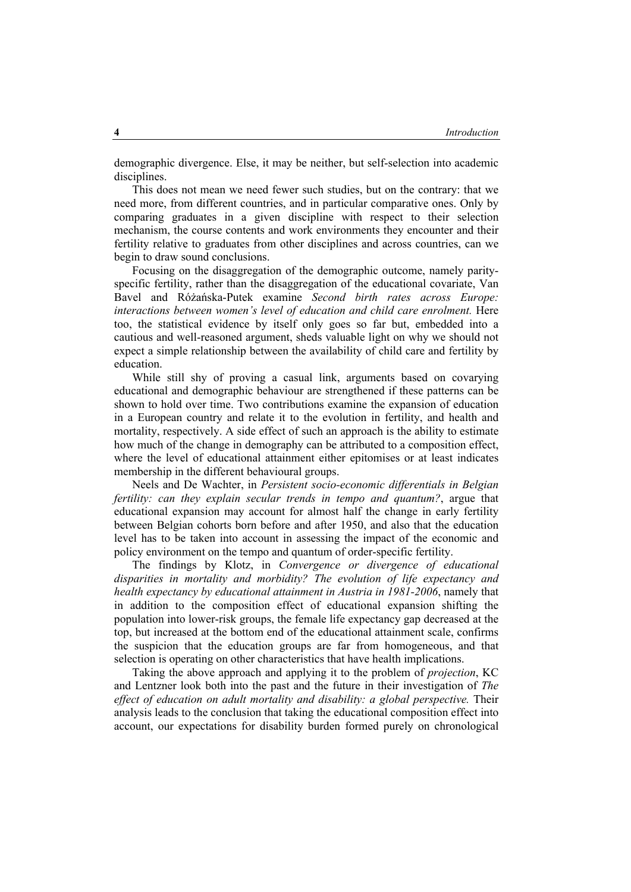demographic divergence. Else, it may be neither, but self-selection into academic disciplines.

This does not mean we need fewer such studies, but on the contrary: that we need more, from different countries, and in particular comparative ones. Only by comparing graduates in a given discipline with respect to their selection mechanism, the course contents and work environments they encounter and their fertility relative to graduates from other disciplines and across countries, can we begin to draw sound conclusions.

Focusing on the disaggregation of the demographic outcome, namely parityspecific fertility, rather than the disaggregation of the educational covariate, Van Bavel and Różańska-Putek examine *Second birth rates across Europe: interactions between women's level of education and child care enrolment.* Here too, the statistical evidence by itself only goes so far but, embedded into a cautious and well-reasoned argument, sheds valuable light on why we should not expect a simple relationship between the availability of child care and fertility by education.

While still shy of proving a casual link, arguments based on covarying educational and demographic behaviour are strengthened if these patterns can be shown to hold over time. Two contributions examine the expansion of education in a European country and relate it to the evolution in fertility, and health and mortality, respectively. A side effect of such an approach is the ability to estimate how much of the change in demography can be attributed to a composition effect, where the level of educational attainment either epitomises or at least indicates membership in the different behavioural groups.

Neels and De Wachter, in *Persistent socio-economic differentials in Belgian fertility: can they explain secular trends in tempo and quantum?*, argue that educational expansion may account for almost half the change in early fertility between Belgian cohorts born before and after 1950, and also that the education level has to be taken into account in assessing the impact of the economic and policy environment on the tempo and quantum of order-specific fertility.

The findings by Klotz, in *Convergence or divergence of educational disparities in mortality and morbidity? The evolution of life expectancy and health expectancy by educational attainment in Austria in 1981-2006*, namely that in addition to the composition effect of educational expansion shifting the population into lower-risk groups, the female life expectancy gap decreased at the top, but increased at the bottom end of the educational attainment scale, confirms the suspicion that the education groups are far from homogeneous, and that selection is operating on other characteristics that have health implications.

Taking the above approach and applying it to the problem of *projection*, KC and Lentzner look both into the past and the future in their investigation of *The*  effect of education on adult mortality and disability: a global perspective. Their analysis leads to the conclusion that taking the educational composition effect into account, our expectations for disability burden formed purely on chronological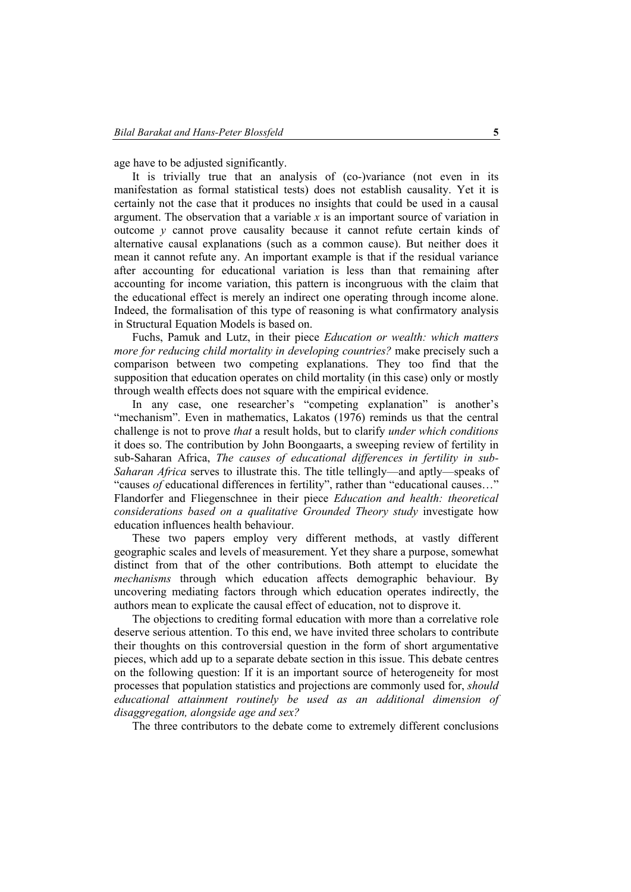age have to be adjusted significantly.

It is trivially true that an analysis of (co-)variance (not even in its manifestation as formal statistical tests) does not establish causality. Yet it is certainly not the case that it produces no insights that could be used in a causal argument. The observation that a variable *x* is an important source of variation in outcome *y* cannot prove causality because it cannot refute certain kinds of alternative causal explanations (such as a common cause). But neither does it mean it cannot refute any. An important example is that if the residual variance after accounting for educational variation is less than that remaining after accounting for income variation, this pattern is incongruous with the claim that the educational effect is merely an indirect one operating through income alone. Indeed, the formalisation of this type of reasoning is what confirmatory analysis in Structural Equation Models is based on.

Fuchs, Pamuk and Lutz, in their piece *Education or wealth: which matters more for reducing child mortality in developing countries?* make precisely such a comparison between two competing explanations. They too find that the supposition that education operates on child mortality (in this case) only or mostly through wealth effects does not square with the empirical evidence.

In any case, one researcher's "competing explanation" is another's "mechanism". Even in mathematics, Lakatos (1976) reminds us that the central challenge is not to prove *that* a result holds, but to clarify *under which conditions* it does so. The contribution by John Boongaarts, a sweeping review of fertility in sub-Saharan Africa, *The causes of educational differences in fertility in sub-Saharan Africa* serves to illustrate this. The title tellingly—and aptly—speaks of "causes *of* educational differences in fertility", rather than "educational causes…" Flandorfer and Fliegenschnee in their piece *Education and health: theoretical considerations based on a qualitative Grounded Theory study* investigate how education influences health behaviour.

These two papers employ very different methods, at vastly different geographic scales and levels of measurement. Yet they share a purpose, somewhat distinct from that of the other contributions. Both attempt to elucidate the *mechanisms* through which education affects demographic behaviour. By uncovering mediating factors through which education operates indirectly, the authors mean to explicate the causal effect of education, not to disprove it.

The objections to crediting formal education with more than a correlative role deserve serious attention. To this end, we have invited three scholars to contribute their thoughts on this controversial question in the form of short argumentative pieces, which add up to a separate debate section in this issue. This debate centres on the following question: If it is an important source of heterogeneity for most processes that population statistics and projections are commonly used for, *should educational attainment routinely be used as an additional dimension of disaggregation, alongside age and sex?* 

The three contributors to the debate come to extremely different conclusions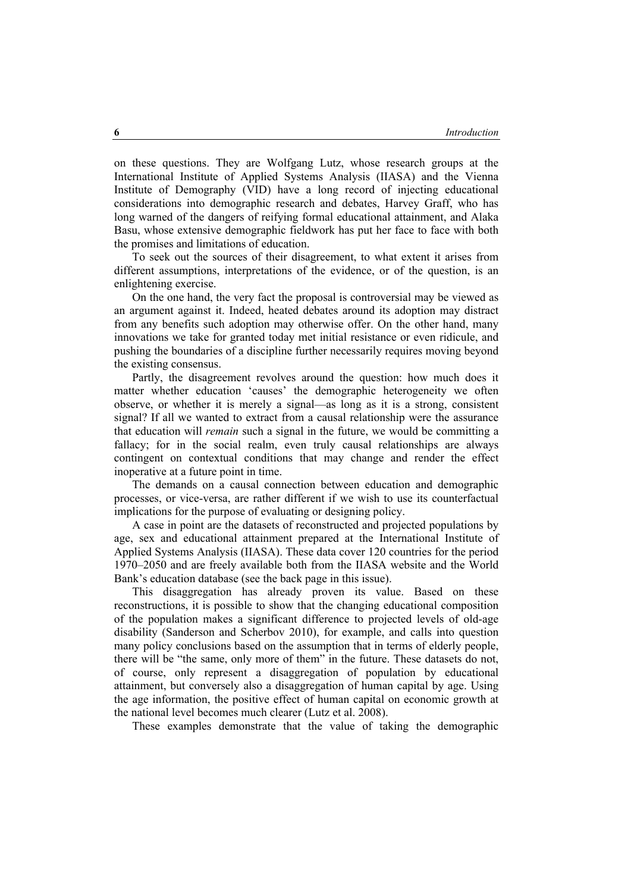on these questions. They are Wolfgang Lutz, whose research groups at the International Institute of Applied Systems Analysis (IIASA) and the Vienna Institute of Demography (VID) have a long record of injecting educational considerations into demographic research and debates, Harvey Graff, who has long warned of the dangers of reifying formal educational attainment, and Alaka Basu, whose extensive demographic fieldwork has put her face to face with both the promises and limitations of education.

To seek out the sources of their disagreement, to what extent it arises from different assumptions, interpretations of the evidence, or of the question, is an enlightening exercise.

On the one hand, the very fact the proposal is controversial may be viewed as an argument against it. Indeed, heated debates around its adoption may distract from any benefits such adoption may otherwise offer. On the other hand, many innovations we take for granted today met initial resistance or even ridicule, and pushing the boundaries of a discipline further necessarily requires moving beyond the existing consensus.

Partly, the disagreement revolves around the question: how much does it matter whether education 'causes' the demographic heterogeneity we often observe, or whether it is merely a signal—as long as it is a strong, consistent signal? If all we wanted to extract from a causal relationship were the assurance that education will *remain* such a signal in the future, we would be committing a fallacy; for in the social realm, even truly causal relationships are always contingent on contextual conditions that may change and render the effect inoperative at a future point in time.

The demands on a causal connection between education and demographic processes, or vice-versa, are rather different if we wish to use its counterfactual implications for the purpose of evaluating or designing policy.

A case in point are the datasets of reconstructed and projected populations by age, sex and educational attainment prepared at the International Institute of Applied Systems Analysis (IIASA). These data cover 120 countries for the period 1970–2050 and are freely available both from the IIASA website and the World Bank's education database (see the back page in this issue).

This disaggregation has already proven its value. Based on these reconstructions, it is possible to show that the changing educational composition of the population makes a significant difference to projected levels of old-age disability (Sanderson and Scherbov 2010), for example, and calls into question many policy conclusions based on the assumption that in terms of elderly people, there will be "the same, only more of them" in the future. These datasets do not, of course, only represent a disaggregation of population by educational attainment, but conversely also a disaggregation of human capital by age. Using the age information, the positive effect of human capital on economic growth at the national level becomes much clearer (Lutz et al. 2008).

These examples demonstrate that the value of taking the demographic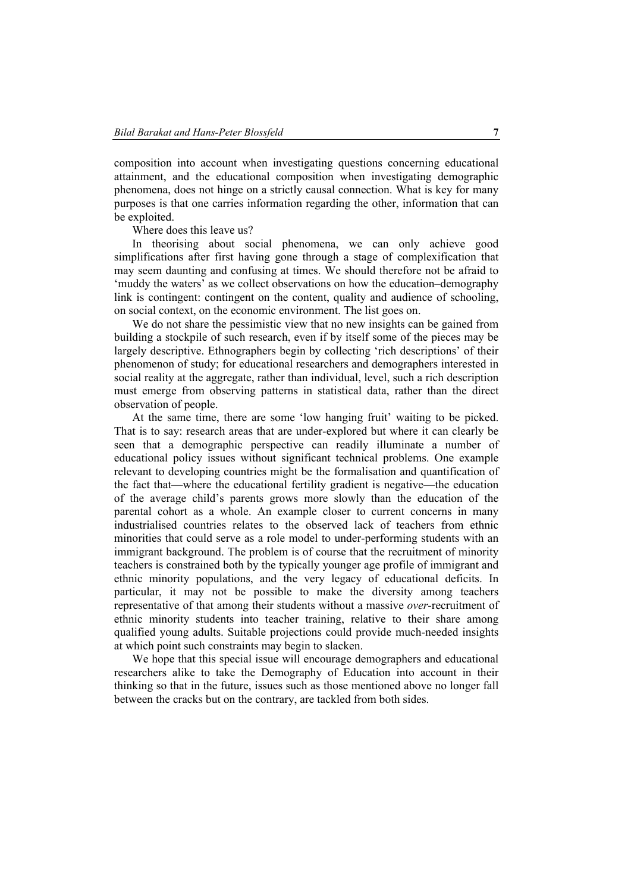composition into account when investigating questions concerning educational attainment, and the educational composition when investigating demographic phenomena, does not hinge on a strictly causal connection. What is key for many purposes is that one carries information regarding the other, information that can be exploited.

Where does this leave us?

In theorising about social phenomena, we can only achieve good simplifications after first having gone through a stage of complexification that may seem daunting and confusing at times. We should therefore not be afraid to 'muddy the waters' as we collect observations on how the education–demography link is contingent: contingent on the content, quality and audience of schooling, on social context, on the economic environment. The list goes on.

We do not share the pessimistic view that no new insights can be gained from building a stockpile of such research, even if by itself some of the pieces may be largely descriptive. Ethnographers begin by collecting 'rich descriptions' of their phenomenon of study; for educational researchers and demographers interested in social reality at the aggregate, rather than individual, level, such a rich description must emerge from observing patterns in statistical data, rather than the direct observation of people.

At the same time, there are some 'low hanging fruit' waiting to be picked. That is to say: research areas that are under-explored but where it can clearly be seen that a demographic perspective can readily illuminate a number of educational policy issues without significant technical problems. One example relevant to developing countries might be the formalisation and quantification of the fact that—where the educational fertility gradient is negative—the education of the average child's parents grows more slowly than the education of the parental cohort as a whole. An example closer to current concerns in many industrialised countries relates to the observed lack of teachers from ethnic minorities that could serve as a role model to under-performing students with an immigrant background. The problem is of course that the recruitment of minority teachers is constrained both by the typically younger age profile of immigrant and ethnic minority populations, and the very legacy of educational deficits. In particular, it may not be possible to make the diversity among teachers representative of that among their students without a massive *over*-recruitment of ethnic minority students into teacher training, relative to their share among qualified young adults. Suitable projections could provide much-needed insights at which point such constraints may begin to slacken.

We hope that this special issue will encourage demographers and educational researchers alike to take the Demography of Education into account in their thinking so that in the future, issues such as those mentioned above no longer fall between the cracks but on the contrary, are tackled from both sides.